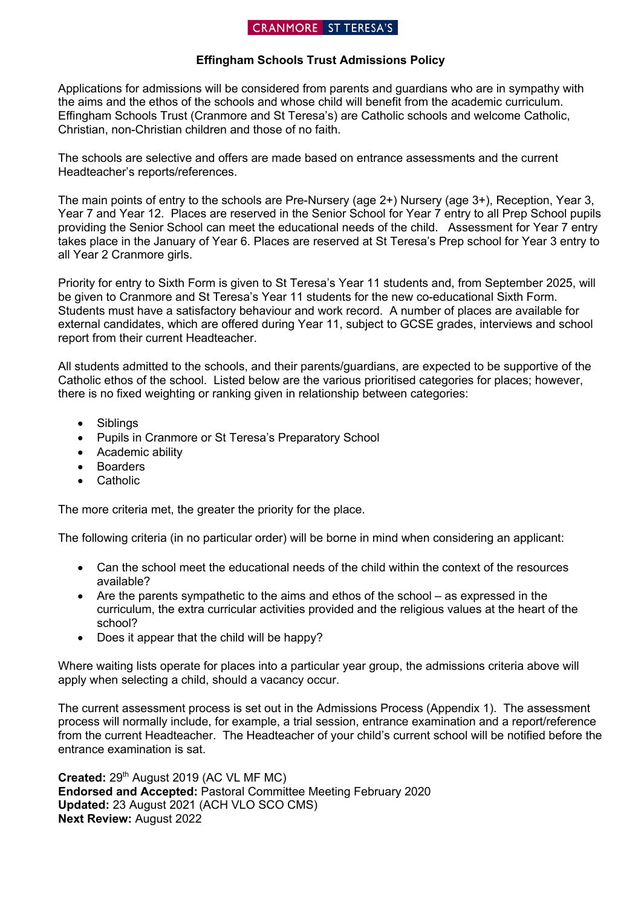## CRANMORE ST TERESA'S

### **Effingham Schools Trust Admissions Policy**

Applications for admissions will be considered from parents and guardians who are in sympathy with the aims and the ethos of the schools and whose child will benefit from the academic curriculum. Effingham Schools Trust (Cranmore and St Teresa's) are Catholic schools and welcome Catholic, Christian, non-Christian children and those of no faith.

The schools are selective and offers are made based on entrance assessments and the current Headteacher's reports/references.

The main points of entry to the schools are Pre-Nursery (age 2+) Nursery (age 3+), Reception, Year 3, Year 7 and Year 12. Places are reserved in the Senior School for Year 7 entry to all Prep School pupils providing the Senior School can meet the educational needs of the child. Assessment for Year 7 entry takes place in the January of Year 6. Places are reserved at St Teresa's Prep school for Year 3 entry to all Year 2 Cranmore girls.

Priority for entry to Sixth Form is given to St Teresa's Year 11 students and, from September 2025, will be given to Cranmore and St Teresa's Year 11 students for the new co-educational Sixth Form. Students must have a satisfactory behaviour and work record. A number of places are available for external candidates, which are offered during Year 11, subject to GCSE grades, interviews and school report from their current Headteacher.

All students admitted to the schools, and their parents/guardians, are expected to be supportive of the Catholic ethos of the school. Listed below are the various prioritised categories for places; however, there is no fixed weighting or ranking given in relationship between categories:

- Siblings
- Pupils in Cranmore or St Teresa's Preparatory School
- Academic ability
- Boarders
- Catholic

The more criteria met, the greater the priority for the place.

The following criteria (in no particular order) will be borne in mind when considering an applicant:

- Can the school meet the educational needs of the child within the context of the resources available?
- Are the parents sympathetic to the aims and ethos of the school as expressed in the curriculum, the extra curricular activities provided and the religious values at the heart of the school?
- Does it appear that the child will be happy?

Where waiting lists operate for places into a particular year group, the admissions criteria above will apply when selecting a child, should a vacancy occur.

The current assessment process is set out in the Admissions Process (Appendix 1). The assessment process will normally include, for example, a trial session, entrance examination and a report/reference from the current Headteacher. The Headteacher of your child's current school will be notified before the entrance examination is sat.

Created: 29<sup>th</sup> August 2019 (AC VL MF MC) **Endorsed and Accepted:** Pastoral Committee Meeting February 2020 **Updated:** 23 August 2021 (ACH VLO SCO CMS) **Next Review:** August 2022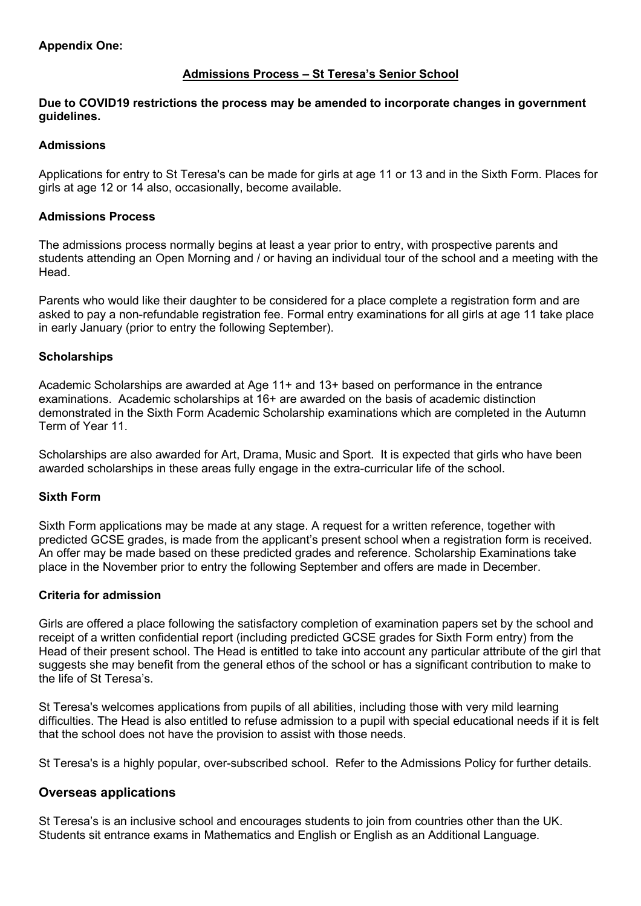# **Admissions Process – St Teresa's Senior School**

#### **Due to COVID19 restrictions the process may be amended to incorporate changes in government guidelines.**

### **Admissions**

Applications for entry to St Teresa's can be made for girls at age 11 or 13 and in the Sixth Form. Places for girls at age 12 or 14 also, occasionally, become available.

#### **Admissions Process**

The admissions process normally begins at least a year prior to entry, with prospective parents and students attending an Open Morning and / or having an individual tour of the school and a meeting with the Head.

Parents who would like their daughter to be considered for a place complete a registration form and are asked to pay a non-refundable registration fee. Formal entry examinations for all girls at age 11 take place in early January (prior to entry the following September).

#### **Scholarships**

Academic Scholarships are awarded at Age 11+ and 13+ based on performance in the entrance examinations. Academic scholarships at 16+ are awarded on the basis of academic distinction demonstrated in the Sixth Form Academic Scholarship examinations which are completed in the Autumn Term of Year 11.

Scholarships are also awarded for Art, Drama, Music and Sport. It is expected that girls who have been awarded scholarships in these areas fully engage in the extra-curricular life of the school.

#### **Sixth Form**

Sixth Form applications may be made at any stage. A request for a written reference, together with predicted GCSE grades, is made from the applicant's present school when a registration form is received. An offer may be made based on these predicted grades and reference. Scholarship Examinations take place in the November prior to entry the following September and offers are made in December.

#### **Criteria for admission**

Girls are offered a place following the satisfactory completion of examination papers set by the school and receipt of a written confidential report (including predicted GCSE grades for Sixth Form entry) from the Head of their present school. The Head is entitled to take into account any particular attribute of the girl that suggests she may benefit from the general ethos of the school or has a significant contribution to make to the life of St Teresa's.

St Teresa's welcomes applications from pupils of all abilities, including those with very mild learning difficulties. The Head is also entitled to refuse admission to a pupil with special educational needs if it is felt that the school does not have the provision to assist with those needs.

St Teresa's is a highly popular, over-subscribed school. Refer to the Admissions Policy for further details.

### **Overseas applications**

St Teresa's is an inclusive school and encourages students to join from countries other than the UK. Students sit entrance exams in Mathematics and English or English as an Additional Language.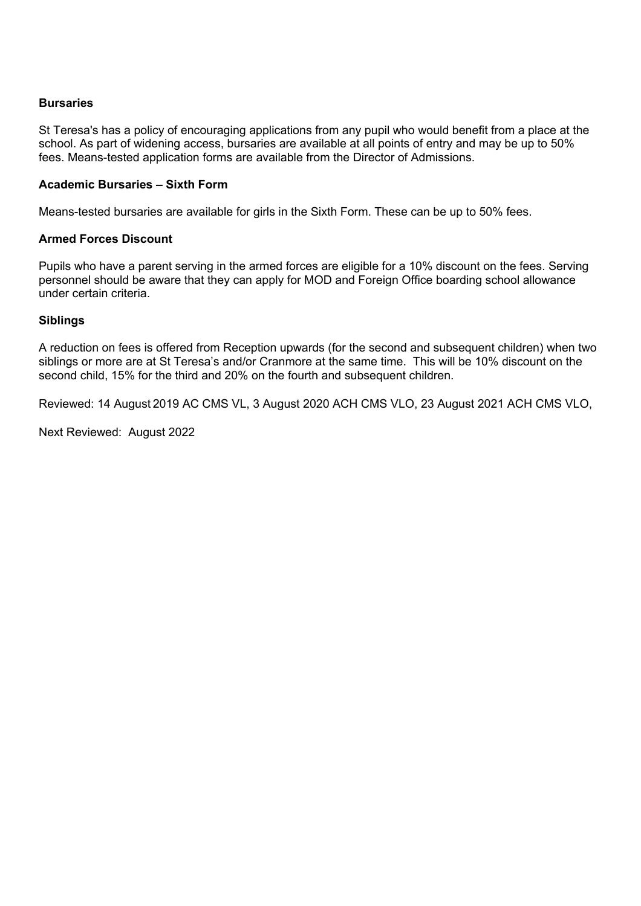#### **Bursaries**

St Teresa's has a policy of encouraging applications from any pupil who would benefit from a place at the school. As part of widening access, bursaries are available at all points of entry and may be up to 50% fees. Means-tested application forms are available from the Director of Admissions.

### **Academic Bursaries – Sixth Form**

Means-tested bursaries are available for girls in the Sixth Form. These can be up to 50% fees.

#### **Armed Forces Discount**

Pupils who have a parent serving in the armed forces are eligible for a 10% discount on the fees. Serving personnel should be aware that they can apply for MOD and Foreign Office boarding school allowance under certain criteria.

#### **Siblings**

A reduction on fees is offered from Reception upwards (for the second and subsequent children) when two siblings or more are at St Teresa's and/or Cranmore at the same time. This will be 10% discount on the second child, 15% for the third and 20% on the fourth and subsequent children.

Reviewed: 14 August 2019 AC CMS VL, 3 August 2020 ACH CMS VLO, 23 August 2021 ACH CMS VLO,

Next Reviewed: August 2022